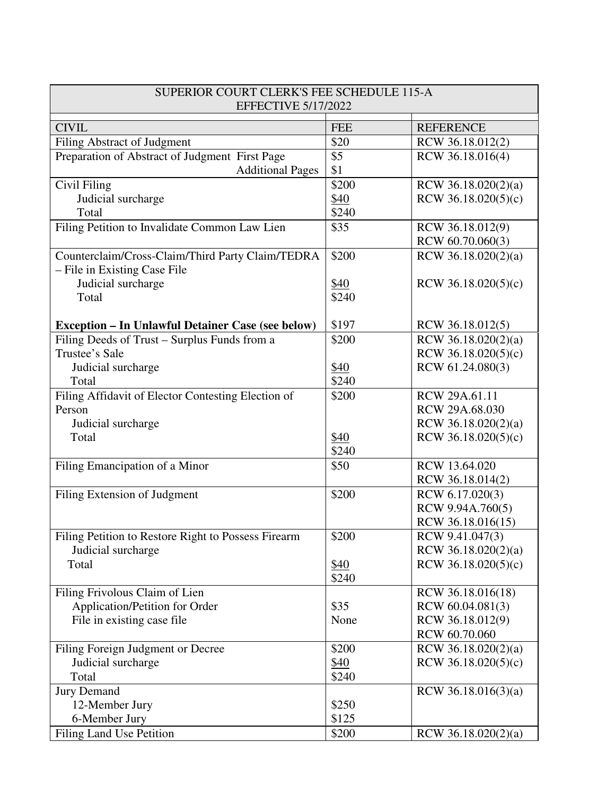| SUPERIOR COURT CLERK'S FEE SCHEDULE 115-A<br><b>EFFECTIVE 5/17/2022</b>          |            |                       |  |
|----------------------------------------------------------------------------------|------------|-----------------------|--|
| <b>CIVIL</b>                                                                     | <b>FEE</b> | <b>REFERENCE</b>      |  |
| <b>Filing Abstract of Judgment</b>                                               | \$20       | RCW 36.18.012(2)      |  |
| Preparation of Abstract of Judgment First Page                                   | \$5        | RCW 36.18.016(4)      |  |
| <b>Additional Pages</b>                                                          | \$1        |                       |  |
| Civil Filing                                                                     | \$200      | RCW 36.18.020(2)(a)   |  |
| Judicial surcharge                                                               | \$40       | RCW 36.18.020(5)(c)   |  |
| Total                                                                            | \$240      |                       |  |
| Filing Petition to Invalidate Common Law Lien                                    | \$35       | RCW 36.18.012(9)      |  |
|                                                                                  |            | RCW 60.70.060(3)      |  |
| Counterclaim/Cross-Claim/Third Party Claim/TEDRA<br>- File in Existing Case File | \$200      | RCW 36.18.020(2)(a)   |  |
| Judicial surcharge                                                               | \$40       | RCW $36.18.020(5)(c)$ |  |
| Total                                                                            | \$240      |                       |  |
|                                                                                  |            |                       |  |
| <b>Exception - In Unlawful Detainer Case (see below)</b>                         | \$197      | RCW 36.18.012(5)      |  |
| Filing Deeds of Trust – Surplus Funds from a                                     | \$200      | RCW 36.18.020(2)(a)   |  |
| Trustee's Sale                                                                   |            | RCW 36.18.020(5)(c)   |  |
| Judicial surcharge                                                               | \$40       | RCW 61.24.080(3)      |  |
| Total                                                                            | \$240      |                       |  |
| Filing Affidavit of Elector Contesting Election of                               | \$200      | RCW 29A.61.11         |  |
| Person                                                                           |            | RCW 29A.68.030        |  |
| Judicial surcharge                                                               |            | RCW 36.18.020(2)(a)   |  |
| Total                                                                            | \$40       | RCW $36.18.020(5)(c)$ |  |
|                                                                                  | \$240      |                       |  |
| Filing Emancipation of a Minor                                                   | \$50       | RCW 13.64.020         |  |
|                                                                                  |            | RCW 36.18.014(2)      |  |
| Filing Extension of Judgment                                                     | \$200      | RCW 6.17.020(3)       |  |
|                                                                                  |            | RCW 9.94A.760(5)      |  |
|                                                                                  |            | RCW 36.18.016(15)     |  |
| Filing Petition to Restore Right to Possess Firearm                              | \$200      | RCW 9.41.047(3)       |  |
| Judicial surcharge                                                               |            | RCW 36.18.020(2)(a)   |  |
| Total                                                                            | \$40       | RCW $36.18.020(5)(c)$ |  |
|                                                                                  | \$240      |                       |  |
| Filing Frivolous Claim of Lien                                                   |            | RCW 36.18.016(18)     |  |
| Application/Petition for Order                                                   | \$35       | RCW 60.04.081(3)      |  |
| File in existing case file                                                       | None       | RCW 36.18.012(9)      |  |
|                                                                                  |            | RCW 60.70.060         |  |
| Filing Foreign Judgment or Decree                                                | \$200      | RCW 36.18.020(2)(a)   |  |
| Judicial surcharge                                                               | \$40       | RCW 36.18.020(5)(c)   |  |
| Total                                                                            | \$240      |                       |  |
| <b>Jury Demand</b>                                                               |            | RCW 36.18.016(3)(a)   |  |
| 12-Member Jury                                                                   | \$250      |                       |  |
| 6-Member Jury                                                                    | \$125      |                       |  |
| <b>Filing Land Use Petition</b>                                                  | \$200      | RCW 36.18.020(2)(a)   |  |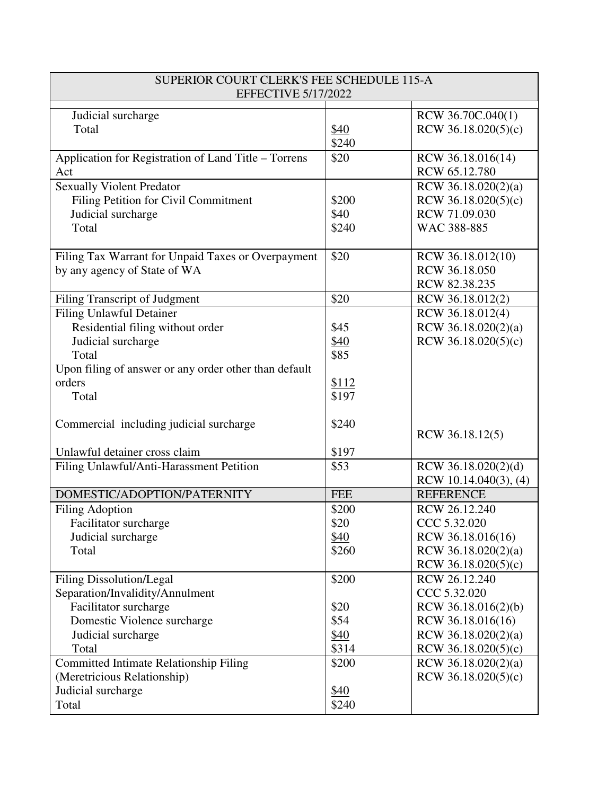| <b>EFFECTIVE 5/17/2022</b><br>RCW 36.70C.040(1)<br>Judicial surcharge<br>RCW $36.18.020(5)(c)$<br>Total<br>\$40<br>\$240<br>Application for Registration of Land Title - Torrens<br>\$20<br>RCW 36.18.016(14)<br>RCW 65.12.780<br>Act<br><b>Sexually Violent Predator</b><br>RCW 36.18.020(2)(a)<br>Filing Petition for Civil Commitment<br>\$200<br>RCW $36.18.020(5)(c)$ |
|----------------------------------------------------------------------------------------------------------------------------------------------------------------------------------------------------------------------------------------------------------------------------------------------------------------------------------------------------------------------------|
|                                                                                                                                                                                                                                                                                                                                                                            |
|                                                                                                                                                                                                                                                                                                                                                                            |
|                                                                                                                                                                                                                                                                                                                                                                            |
|                                                                                                                                                                                                                                                                                                                                                                            |
|                                                                                                                                                                                                                                                                                                                                                                            |
|                                                                                                                                                                                                                                                                                                                                                                            |
|                                                                                                                                                                                                                                                                                                                                                                            |
| RCW 71.09.030<br>\$40<br>Judicial surcharge                                                                                                                                                                                                                                                                                                                                |
| \$240<br>WAC 388-885<br>Total                                                                                                                                                                                                                                                                                                                                              |
|                                                                                                                                                                                                                                                                                                                                                                            |
| \$20<br>Filing Tax Warrant for Unpaid Taxes or Overpayment<br>RCW 36.18.012(10)                                                                                                                                                                                                                                                                                            |
| RCW 36.18.050<br>by any agency of State of WA                                                                                                                                                                                                                                                                                                                              |
| RCW 82.38.235                                                                                                                                                                                                                                                                                                                                                              |
| \$20<br>Filing Transcript of Judgment<br>RCW 36.18.012(2)                                                                                                                                                                                                                                                                                                                  |
| <b>Filing Unlawful Detainer</b><br>RCW 36.18.012(4)                                                                                                                                                                                                                                                                                                                        |
| Residential filing without order<br>\$45<br>RCW 36.18.020(2)(a)                                                                                                                                                                                                                                                                                                            |
| Judicial surcharge<br>\$40<br>RCW 36.18.020(5)(c)                                                                                                                                                                                                                                                                                                                          |
| \$85<br>Total                                                                                                                                                                                                                                                                                                                                                              |
| Upon filing of answer or any order other than default                                                                                                                                                                                                                                                                                                                      |
| orders<br><u>\$112</u>                                                                                                                                                                                                                                                                                                                                                     |
| \$197<br>Total                                                                                                                                                                                                                                                                                                                                                             |
|                                                                                                                                                                                                                                                                                                                                                                            |
| Commercial including judicial surcharge<br>\$240<br>RCW 36.18.12(5)                                                                                                                                                                                                                                                                                                        |
|                                                                                                                                                                                                                                                                                                                                                                            |
| Unlawful detainer cross claim<br>\$197                                                                                                                                                                                                                                                                                                                                     |
| \$53<br>RCW 36.18.020(2)(d)<br>Filing Unlawful/Anti-Harassment Petition                                                                                                                                                                                                                                                                                                    |
| RCW 10.14.040(3), $(4)$<br>DOMESTIC/ADOPTION/PATERNITY<br><b>FEE</b><br><b>REFERENCE</b>                                                                                                                                                                                                                                                                                   |
| \$200<br>RCW 26.12.240<br><b>Filing Adoption</b>                                                                                                                                                                                                                                                                                                                           |
| \$20<br>CCC 5.32.020<br>Facilitator surcharge                                                                                                                                                                                                                                                                                                                              |
| Judicial surcharge<br>RCW 36.18.016(16)<br>\$40                                                                                                                                                                                                                                                                                                                            |
| RCW 36.18.020(2)(a)<br>\$260<br>Total                                                                                                                                                                                                                                                                                                                                      |
| RCW $36.18.020(5)(c)$                                                                                                                                                                                                                                                                                                                                                      |
| <b>Filing Dissolution/Legal</b><br>\$200<br>RCW 26.12.240                                                                                                                                                                                                                                                                                                                  |
| CCC 5.32.020<br>Separation/Invalidity/Annulment                                                                                                                                                                                                                                                                                                                            |
| Facilitator surcharge<br>\$20<br>RCW 36.18.016(2)(b)                                                                                                                                                                                                                                                                                                                       |
| Domestic Violence surcharge<br>\$54<br>RCW 36.18.016(16)                                                                                                                                                                                                                                                                                                                   |
| RCW 36.18.020(2)(a)<br>Judicial surcharge<br>\$40                                                                                                                                                                                                                                                                                                                          |
| \$314<br>Total<br>RCW $36.18.020(5)(c)$                                                                                                                                                                                                                                                                                                                                    |
| <b>Committed Intimate Relationship Filing</b><br>\$200<br>RCW 36.18.020(2)(a)                                                                                                                                                                                                                                                                                              |
| (Meretricious Relationship)<br>RCW $36.18.020(5)(c)$                                                                                                                                                                                                                                                                                                                       |
| Judicial surcharge<br>\$40                                                                                                                                                                                                                                                                                                                                                 |
| \$240<br>Total                                                                                                                                                                                                                                                                                                                                                             |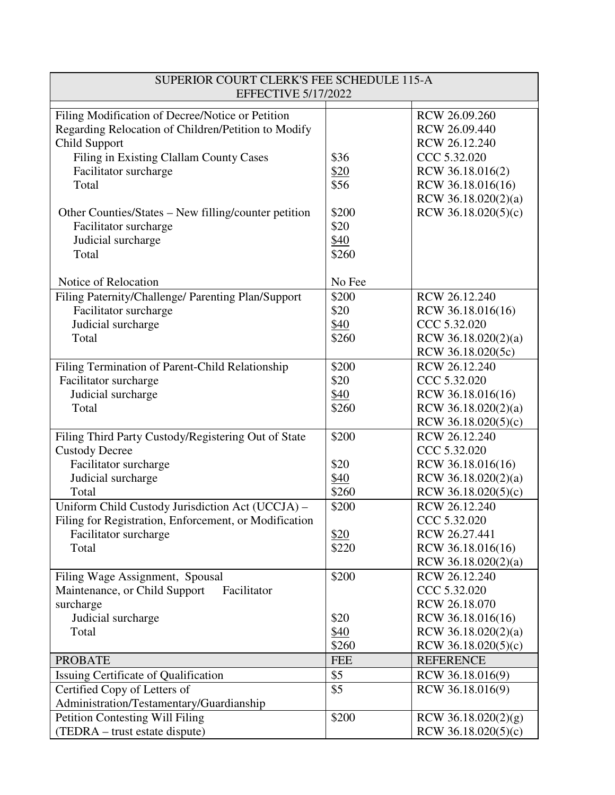| SUPERIOR COURT CLERK'S FEE SCHEDULE 115-A<br><b>EFFECTIVE 5/17/2022</b>                                                                                                                                                                                                                                               |                                                        |                                                                                                                                                        |  |
|-----------------------------------------------------------------------------------------------------------------------------------------------------------------------------------------------------------------------------------------------------------------------------------------------------------------------|--------------------------------------------------------|--------------------------------------------------------------------------------------------------------------------------------------------------------|--|
| Filing Modification of Decree/Notice or Petition<br>Regarding Relocation of Children/Petition to Modify<br>Child Support<br>Filing in Existing Clallam County Cases<br>Facilitator surcharge<br>Total<br>Other Counties/States – New filling/counter petition<br>Facilitator surcharge<br>Judicial surcharge<br>Total | \$36<br>\$20<br>\$56<br>\$200<br>\$20<br>\$40<br>\$260 | RCW 26.09.260<br>RCW 26.09.440<br>RCW 26.12.240<br>CCC 5.32.020<br>RCW 36.18.016(2)<br>RCW 36.18.016(16)<br>RCW 36.18.020(2)(a)<br>RCW 36.18.020(5)(c) |  |
| Notice of Relocation                                                                                                                                                                                                                                                                                                  | No Fee                                                 |                                                                                                                                                        |  |
| Filing Paternity/Challenge/ Parenting Plan/Support<br>Facilitator surcharge<br>Judicial surcharge<br>Total                                                                                                                                                                                                            | \$200<br>\$20<br>\$40<br>\$260                         | RCW 26.12.240<br>RCW 36.18.016(16)<br>CCC 5.32.020<br>RCW 36.18.020(2)(a)<br>RCW 36.18.020(5c)                                                         |  |
| Filing Termination of Parent-Child Relationship<br>Facilitator surcharge<br>Judicial surcharge<br>Total                                                                                                                                                                                                               | \$200<br>\$20<br>\$40<br>\$260                         | RCW 26.12.240<br>CCC 5.32.020<br>RCW 36.18.016(16)<br>RCW 36.18.020(2)(a)<br>RCW 36.18.020(5)(c)                                                       |  |
| Filing Third Party Custody/Registering Out of State<br><b>Custody Decree</b>                                                                                                                                                                                                                                          | \$200                                                  | RCW 26.12.240<br>CCC 5.32.020                                                                                                                          |  |
| Facilitator surcharge<br>Judicial surcharge<br>Total                                                                                                                                                                                                                                                                  | \$20<br>\$40<br>\$260                                  | RCW 36.18.016(16)<br>RCW 36.18.020(2)(a)<br>RCW 36.18.020(5)(c)                                                                                        |  |
| Uniform Child Custody Jurisdiction Act (UCCJA) -<br>Filing for Registration, Enforcement, or Modification<br>Facilitator surcharge<br>Total                                                                                                                                                                           | \$200<br>\$20<br>\$220                                 | RCW 26.12.240<br>CCC 5.32.020<br>RCW 26.27.441<br>RCW 36.18.016(16)                                                                                    |  |
| Filing Wage Assignment, Spousal<br>Maintenance, or Child Support<br>Facilitator<br>surcharge                                                                                                                                                                                                                          | \$200                                                  | RCW 36.18.020(2)(a)<br>RCW 26.12.240<br>CCC 5.32.020<br>RCW 26.18.070                                                                                  |  |
| Judicial surcharge<br>Total                                                                                                                                                                                                                                                                                           | \$20<br>\$40<br>\$260                                  | RCW 36.18.016(16)<br>RCW 36.18.020(2)(a)<br>RCW $36.18.020(5)(c)$                                                                                      |  |
| <b>PROBATE</b>                                                                                                                                                                                                                                                                                                        | <b>FEE</b><br>\$5                                      | <b>REFERENCE</b>                                                                                                                                       |  |
| Issuing Certificate of Qualification<br>Certified Copy of Letters of<br>Administration/Testamentary/Guardianship                                                                                                                                                                                                      | \$5                                                    | RCW 36.18.016(9)<br>RCW 36.18.016(9)                                                                                                                   |  |
| <b>Petition Contesting Will Filing</b><br>(TEDRA – trust estate dispute)                                                                                                                                                                                                                                              | \$200                                                  | RCW 36.18.020(2)(g)<br>RCW 36.18.020(5)(c)                                                                                                             |  |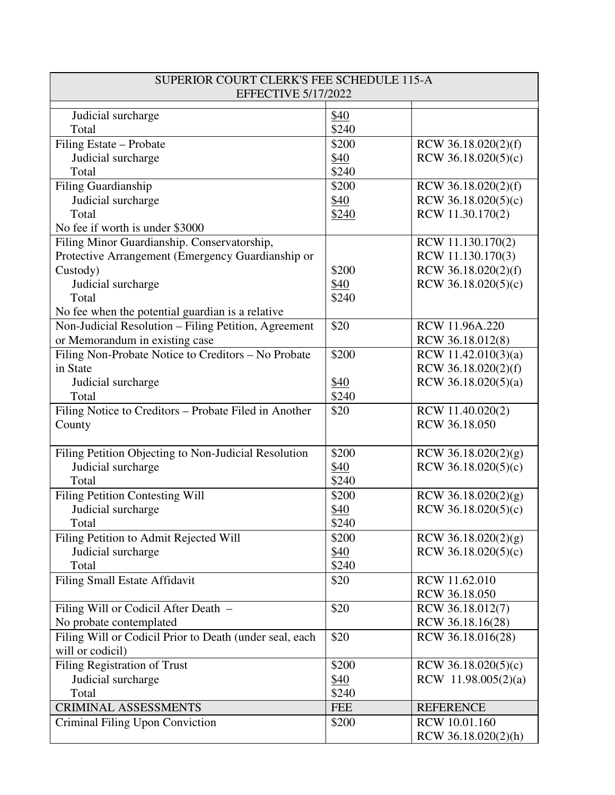| SUPERIOR COURT CLERK'S FEE SCHEDULE 115-A<br><b>EFFECTIVE 5/17/2022</b> |            |                                            |  |
|-------------------------------------------------------------------------|------------|--------------------------------------------|--|
|                                                                         |            |                                            |  |
| Judicial surcharge                                                      | \$40       |                                            |  |
| Total                                                                   | \$240      |                                            |  |
| Filing Estate - Probate                                                 | \$200      | RCW 36.18.020(2)(f)                        |  |
| Judicial surcharge                                                      | \$40       | RCW 36.18.020(5)(c)                        |  |
| Total                                                                   | \$240      |                                            |  |
| Filing Guardianship                                                     | \$200      | RCW 36.18.020(2)(f)                        |  |
| Judicial surcharge                                                      | \$40       | RCW 36.18.020(5)(c)                        |  |
| Total                                                                   | \$240      | RCW 11.30.170(2)                           |  |
| No fee if worth is under \$3000                                         |            |                                            |  |
| Filing Minor Guardianship. Conservatorship,                             |            | RCW 11.130.170(2)                          |  |
| Protective Arrangement (Emergency Guardianship or                       |            | RCW 11.130.170(3)                          |  |
| Custody)                                                                | \$200      | RCW 36.18.020(2)(f)                        |  |
| Judicial surcharge                                                      | \$40       | RCW 36.18.020(5)(c)                        |  |
| Total                                                                   | \$240      |                                            |  |
| No fee when the potential guardian is a relative                        |            |                                            |  |
| Non-Judicial Resolution - Filing Petition, Agreement                    | \$20       | RCW 11.96A.220                             |  |
| or Memorandum in existing case                                          |            | RCW 36.18.012(8)                           |  |
| Filing Non-Probate Notice to Creditors - No Probate<br>in State         | \$200      | RCW 11.42.010(3)(a)<br>RCW 36.18.020(2)(f) |  |
|                                                                         | \$40       | RCW 36.18.020(5)(a)                        |  |
| Judicial surcharge<br>Total                                             | \$240      |                                            |  |
| Filing Notice to Creditors - Probate Filed in Another                   | \$20       | RCW 11.40.020(2)                           |  |
| County                                                                  |            | RCW 36.18.050                              |  |
|                                                                         |            |                                            |  |
| Filing Petition Objecting to Non-Judicial Resolution                    | \$200      | RCW 36.18.020(2)(g)                        |  |
| Judicial surcharge                                                      | \$40       | RCW $36.18.020(5)(c)$                      |  |
| Total                                                                   | \$240      |                                            |  |
| Filing Petition Contesting Will                                         | \$200      | RCW 36.18.020(2)(g)                        |  |
| Judicial surcharge                                                      | \$40       | RCW $36.18.020(5)(c)$                      |  |
| Total                                                                   | \$240      |                                            |  |
| Filing Petition to Admit Rejected Will                                  | \$200      | RCW 36.18.020(2)(g)                        |  |
| Judicial surcharge                                                      | \$40       | RCW $36.18.020(5)(c)$                      |  |
| Total                                                                   | \$240      |                                            |  |
| <b>Filing Small Estate Affidavit</b>                                    | \$20       | RCW 11.62.010                              |  |
|                                                                         |            | RCW 36.18.050                              |  |
| Filing Will or Codicil After Death -                                    | \$20       | RCW 36.18.012(7)                           |  |
| No probate contemplated                                                 |            | RCW 36.18.16(28)                           |  |
| Filing Will or Codicil Prior to Death (under seal, each                 | \$20       | RCW 36.18.016(28)                          |  |
| will or codicil)                                                        |            |                                            |  |
| Filing Registration of Trust                                            | \$200      | RCW $36.18.020(5)(c)$                      |  |
| Judicial surcharge                                                      | \$40       | RCW $11.98.005(2)(a)$                      |  |
| Total                                                                   | \$240      |                                            |  |
| <b>CRIMINAL ASSESSMENTS</b>                                             | <b>FEE</b> | <b>REFERENCE</b>                           |  |
| Criminal Filing Upon Conviction                                         | \$200      | RCW 10.01.160                              |  |
|                                                                         |            | RCW 36.18.020(2)(h)                        |  |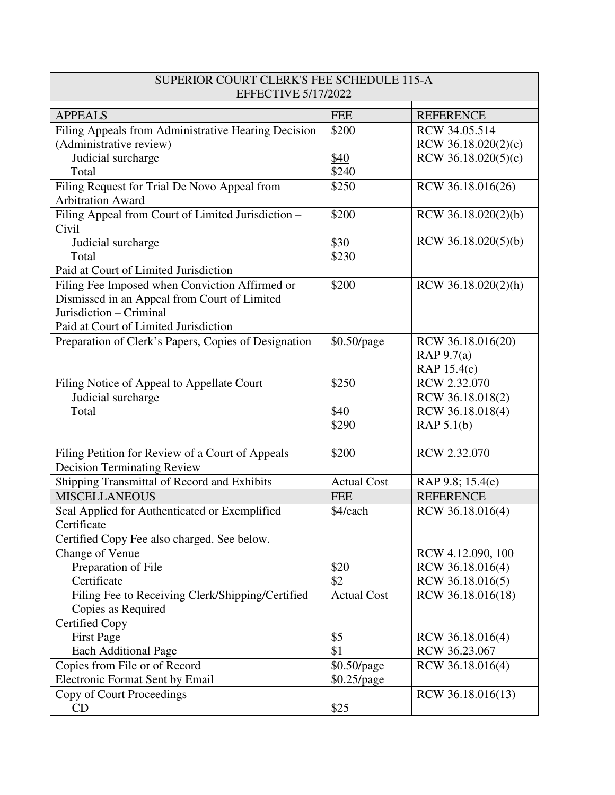| SUPERIOR COURT CLERK'S FEE SCHEDULE 115-A<br><b>EFFECTIVE 5/17/2022</b>  |                    |                       |  |
|--------------------------------------------------------------------------|--------------------|-----------------------|--|
| <b>APPEALS</b>                                                           | <b>FEE</b>         | <b>REFERENCE</b>      |  |
| Filing Appeals from Administrative Hearing Decision                      | \$200              | RCW 34.05.514         |  |
| (Administrative review)                                                  |                    | RCW $36.18.020(2)(c)$ |  |
| Judicial surcharge                                                       | \$40               | RCW $36.18.020(5)(c)$ |  |
| Total                                                                    | \$240              |                       |  |
| Filing Request for Trial De Novo Appeal from<br><b>Arbitration Award</b> | \$250              | RCW 36.18.016(26)     |  |
|                                                                          | \$200              |                       |  |
| Filing Appeal from Court of Limited Jurisdiction -<br>Civil              |                    | RCW 36.18.020(2)(b)   |  |
| Judicial surcharge                                                       | \$30               | RCW 36.18.020(5)(b)   |  |
| Total                                                                    | \$230              |                       |  |
| Paid at Court of Limited Jurisdiction                                    |                    |                       |  |
| Filing Fee Imposed when Conviction Affirmed or                           | \$200              | RCW 36.18.020(2)(h)   |  |
| Dismissed in an Appeal from Court of Limited                             |                    |                       |  |
| Jurisdiction - Criminal                                                  |                    |                       |  |
| Paid at Court of Limited Jurisdiction                                    |                    |                       |  |
| Preparation of Clerk's Papers, Copies of Designation                     | \$0.50/page        | RCW 36.18.016(20)     |  |
|                                                                          |                    | RAP $9.7(a)$          |  |
|                                                                          |                    | RAP 15.4(e)           |  |
| Filing Notice of Appeal to Appellate Court                               | \$250              | RCW 2.32.070          |  |
| Judicial surcharge                                                       |                    | RCW 36.18.018(2)      |  |
| Total                                                                    | \$40               | RCW 36.18.018(4)      |  |
|                                                                          | \$290              | RAP $5.1(b)$          |  |
| Filing Petition for Review of a Court of Appeals                         | \$200              | RCW 2.32.070          |  |
| <b>Decision Terminating Review</b>                                       |                    |                       |  |
| Shipping Transmittal of Record and Exhibits                              | <b>Actual Cost</b> | RAP 9.8; 15.4(e)      |  |
| <b>MISCELLANEOUS</b>                                                     | <b>FEE</b>         | <b>REFERENCE</b>      |  |
| Seal Applied for Authenticated or Exemplified                            | \$4/each           | RCW 36.18.016(4)      |  |
| Certificate                                                              |                    |                       |  |
| Certified Copy Fee also charged. See below.                              |                    |                       |  |
| Change of Venue                                                          |                    | RCW 4.12.090, 100     |  |
| Preparation of File                                                      | \$20               | RCW 36.18.016(4)      |  |
| Certificate                                                              | \$2                | RCW 36.18.016(5)      |  |
| Filing Fee to Receiving Clerk/Shipping/Certified                         | <b>Actual Cost</b> | RCW 36.18.016(18)     |  |
| Copies as Required                                                       |                    |                       |  |
| <b>Certified Copy</b>                                                    |                    |                       |  |
| <b>First Page</b>                                                        | \$5                | RCW 36.18.016(4)      |  |
| <b>Each Additional Page</b>                                              | \$1                | RCW 36.23.067         |  |
| Copies from File or of Record                                            | \$0.50/page        | RCW 36.18.016(4)      |  |
| Electronic Format Sent by Email                                          | $$0.25$ /page      |                       |  |
| Copy of Court Proceedings                                                |                    | RCW 36.18.016(13)     |  |
| CD                                                                       | \$25               |                       |  |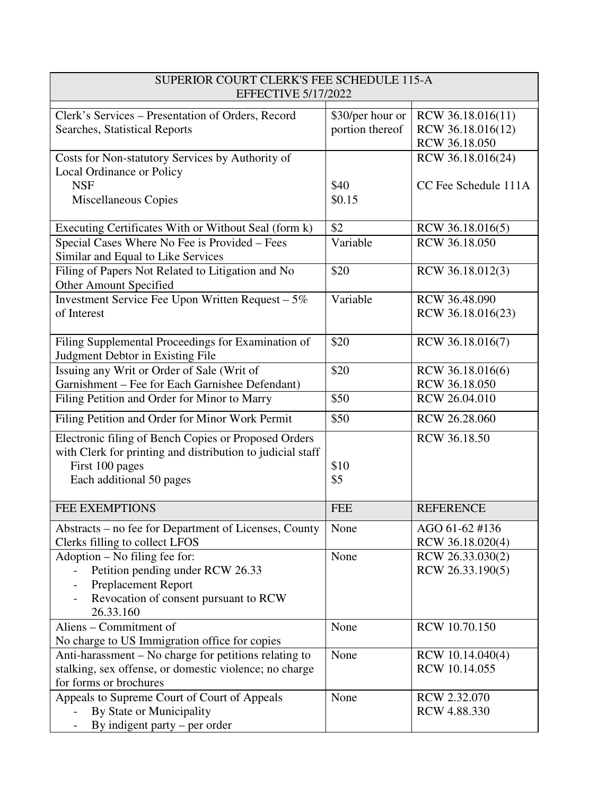| SUPERIOR COURT CLERK'S FEE SCHEDULE 115-A<br><b>EFFECTIVE 5/17/2022</b>                                                                                           |                                     |                                                         |
|-------------------------------------------------------------------------------------------------------------------------------------------------------------------|-------------------------------------|---------------------------------------------------------|
| Clerk's Services – Presentation of Orders, Record<br>Searches, Statistical Reports                                                                                | \$30/per hour or<br>portion thereof | RCW 36.18.016(11)<br>RCW 36.18.016(12)<br>RCW 36.18.050 |
| Costs for Non-statutory Services by Authority of<br>Local Ordinance or Policy                                                                                     |                                     | RCW 36.18.016(24)                                       |
| <b>NSF</b><br><b>Miscellaneous Copies</b>                                                                                                                         | \$40<br>\$0.15                      | CC Fee Schedule 111A                                    |
| Executing Certificates With or Without Seal (form k)                                                                                                              | \$2                                 | RCW 36.18.016(5)                                        |
| Special Cases Where No Fee is Provided - Fees<br>Similar and Equal to Like Services                                                                               | Variable                            | RCW 36.18.050                                           |
| Filing of Papers Not Related to Litigation and No<br>Other Amount Specified                                                                                       | \$20                                | RCW 36.18.012(3)                                        |
| Investment Service Fee Upon Written Request - 5%<br>of Interest                                                                                                   | Variable                            | RCW 36.48.090<br>RCW 36.18.016(23)                      |
| Filing Supplemental Proceedings for Examination of<br>Judgment Debtor in Existing File                                                                            | \$20                                | RCW 36.18.016(7)                                        |
| Issuing any Writ or Order of Sale (Writ of<br>Garnishment - Fee for Each Garnishee Defendant)                                                                     | \$20                                | RCW 36.18.016(6)<br>RCW 36.18.050                       |
| Filing Petition and Order for Minor to Marry                                                                                                                      | \$50                                | RCW 26.04.010                                           |
| Filing Petition and Order for Minor Work Permit                                                                                                                   | \$50                                | RCW 26.28.060                                           |
| Electronic filing of Bench Copies or Proposed Orders<br>with Clerk for printing and distribution to judicial staff<br>First 100 pages<br>Each additional 50 pages | \$10<br>\$5                         | RCW 36.18.50                                            |
| <b>FEE EXEMPTIONS</b>                                                                                                                                             | <b>FEE</b>                          | <b>REFERENCE</b>                                        |
| Abstracts – no fee for Department of Licenses, County<br>Clerks filling to collect LFOS                                                                           | None                                | AGO 61-62 #136<br>RCW 36.18.020(4)                      |
| Adoption – No filing fee for:<br>Petition pending under RCW 26.33<br><b>Preplacement Report</b><br>Revocation of consent pursuant to RCW<br>26.33.160             | None                                | RCW 26.33.030(2)<br>RCW 26.33.190(5)                    |
| Aliens - Commitment of<br>No charge to US Immigration office for copies                                                                                           | None                                | RCW 10.70.150                                           |
| Anti-harassment – No charge for petitions relating to<br>stalking, sex offense, or domestic violence; no charge<br>for forms or brochures                         | None                                | RCW 10.14.040(4)<br>RCW 10.14.055                       |
| Appeals to Supreme Court of Court of Appeals<br>By State or Municipality<br>By indigent party $-$ per order                                                       | None                                | RCW 2.32.070<br>RCW 4.88.330                            |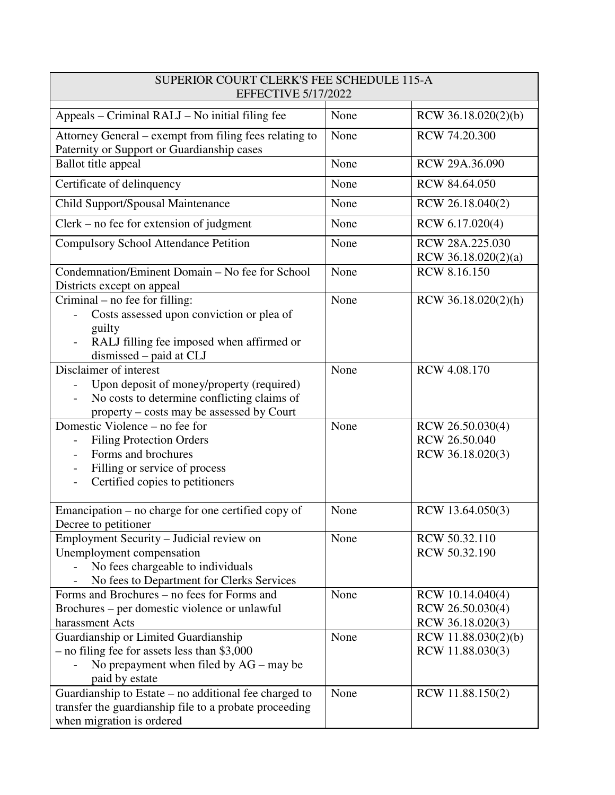| SUPERIOR COURT CLERK'S FEE SCHEDULE 115-A<br><b>EFFECTIVE 5/17/2022</b>                                                                                         |      |                                                          |  |
|-----------------------------------------------------------------------------------------------------------------------------------------------------------------|------|----------------------------------------------------------|--|
| Appeals – Criminal RALJ – No initial filing fee                                                                                                                 | None | RCW 36.18.020(2)(b)                                      |  |
| Attorney General – exempt from filing fees relating to<br>Paternity or Support or Guardianship cases                                                            | None | RCW 74.20.300                                            |  |
| <b>Ballot title appeal</b>                                                                                                                                      | None | RCW 29A.36.090                                           |  |
| Certificate of delinquency                                                                                                                                      | None | RCW 84.64.050                                            |  |
| Child Support/Spousal Maintenance                                                                                                                               | None | RCW 26.18.040(2)                                         |  |
| $Clerk - no$ fee for extension of judgment                                                                                                                      | None | RCW 6.17.020(4)                                          |  |
| <b>Compulsory School Attendance Petition</b>                                                                                                                    | None | RCW 28A.225.030<br>RCW 36.18.020(2)(a)                   |  |
| Condemnation/Eminent Domain - No fee for School<br>Districts except on appeal                                                                                   | None | <b>RCW 8.16.150</b>                                      |  |
| Criminal – no fee for filling:<br>Costs assessed upon conviction or plea of<br>guilty<br>RALJ filling fee imposed when affirmed or<br>dismissed - paid at CLJ   | None | RCW 36.18.020(2)(h)                                      |  |
| Disclaimer of interest<br>Upon deposit of money/property (required)<br>No costs to determine conflicting claims of<br>property – costs may be assessed by Court | None | <b>RCW 4.08.170</b>                                      |  |
| Domestic Violence – no fee for<br><b>Filing Protection Orders</b><br>Forms and brochures<br>Filling or service of process<br>Certified copies to petitioners    | None | RCW 26.50.030(4)<br>RCW 26.50.040<br>RCW 36.18.020(3)    |  |
| Emancipation – no charge for one certified copy of<br>Decree to petitioner                                                                                      | None | RCW 13.64.050(3)                                         |  |
| Employment Security – Judicial review on<br>Unemployment compensation<br>No fees chargeable to individuals<br>No fees to Department for Clerks Services         | None | RCW 50.32.110<br>RCW 50.32.190                           |  |
| Forms and Brochures – no fees for Forms and<br>Brochures – per domestic violence or unlawful<br>harassment Acts                                                 | None | RCW 10.14.040(4)<br>RCW 26.50.030(4)<br>RCW 36.18.020(3) |  |
| Guardianship or Limited Guardianship<br>- no filing fee for assets less than \$3,000<br>No prepayment when filed by $AG -$ may be<br>paid by estate             | None | RCW 11.88.030(2)(b)<br>RCW 11.88.030(3)                  |  |
| Guardianship to Estate - no additional fee charged to<br>transfer the guardianship file to a probate proceeding<br>when migration is ordered                    | None | RCW 11.88.150(2)                                         |  |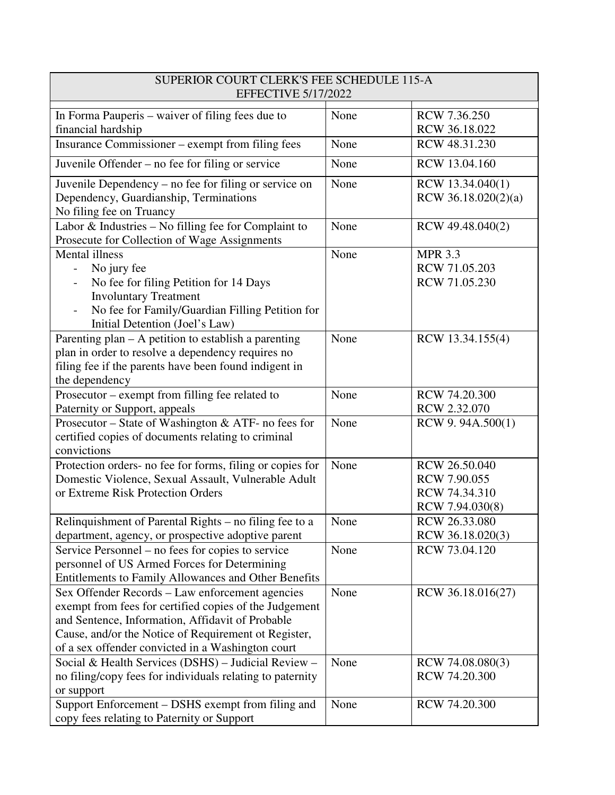| SUPERIOR COURT CLERK'S FEE SCHEDULE 115-A<br><b>EFFECTIVE 5/17/2022</b>                                                                                                                                                                                                    |      |                                                                   |  |
|----------------------------------------------------------------------------------------------------------------------------------------------------------------------------------------------------------------------------------------------------------------------------|------|-------------------------------------------------------------------|--|
| In Forma Pauperis – waiver of filing fees due to<br>financial hardship                                                                                                                                                                                                     | None | RCW 7.36.250<br>RCW 36.18.022                                     |  |
| Insurance Commissioner – exempt from filing fees                                                                                                                                                                                                                           | None | RCW 48.31.230                                                     |  |
| Juvenile Offender – no fee for filing or service                                                                                                                                                                                                                           | None | RCW 13.04.160                                                     |  |
| Juvenile Dependency - no fee for filing or service on<br>Dependency, Guardianship, Terminations<br>No filing fee on Truancy                                                                                                                                                | None | RCW 13.34.040(1)<br>RCW 36.18.020(2)(a)                           |  |
| Labor & Industries - No filling fee for Complaint to<br>Prosecute for Collection of Wage Assignments                                                                                                                                                                       | None | RCW 49.48.040(2)                                                  |  |
| <b>Mental</b> illness<br>No jury fee<br>No fee for filing Petition for 14 Days<br><b>Involuntary Treatment</b><br>No fee for Family/Guardian Filling Petition for<br>Initial Detention (Joel's Law)                                                                        | None | <b>MPR 3.3</b><br>RCW 71.05.203<br>RCW 71.05.230                  |  |
| Parenting plan – A petition to establish a parenting<br>plan in order to resolve a dependency requires no<br>filing fee if the parents have been found indigent in<br>the dependency                                                                                       | None | RCW 13.34.155(4)                                                  |  |
| Prosecutor – exempt from filling fee related to<br>Paternity or Support, appeals                                                                                                                                                                                           | None | RCW 74.20.300<br>RCW 2.32.070                                     |  |
| Prosecutor - State of Washington & ATF- no fees for<br>certified copies of documents relating to criminal<br>convictions                                                                                                                                                   | None | RCW 9.94A.500(1)                                                  |  |
| Protection orders- no fee for forms, filing or copies for<br>Domestic Violence, Sexual Assault, Vulnerable Adult<br>or Extreme Risk Protection Orders                                                                                                                      | None | RCW 26.50.040<br>RCW 7.90.055<br>RCW 74.34.310<br>RCW 7.94.030(8) |  |
| Relinquishment of Parental Rights – no filing fee to a<br>department, agency, or prospective adoptive parent                                                                                                                                                               | None | RCW 26.33.080<br>RCW 36.18.020(3)                                 |  |
| Service Personnel – no fees for copies to service<br>personnel of US Armed Forces for Determining<br><b>Entitlements to Family Allowances and Other Benefits</b>                                                                                                           | None | RCW 73.04.120                                                     |  |
| Sex Offender Records – Law enforcement agencies<br>exempt from fees for certified copies of the Judgement<br>and Sentence, Information, Affidavit of Probable<br>Cause, and/or the Notice of Requirement ot Register,<br>of a sex offender convicted in a Washington court | None | RCW 36.18.016(27)                                                 |  |
| Social & Health Services (DSHS) - Judicial Review -<br>no filing/copy fees for individuals relating to paternity<br>or support                                                                                                                                             | None | RCW 74.08.080(3)<br>RCW 74.20.300                                 |  |
| Support Enforcement - DSHS exempt from filing and<br>copy fees relating to Paternity or Support                                                                                                                                                                            | None | RCW 74.20.300                                                     |  |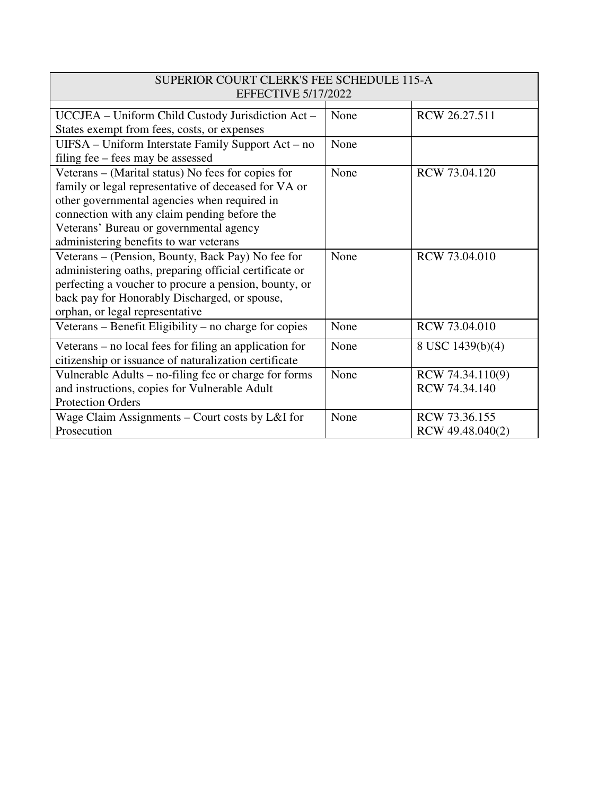| SUPERIOR COURT CLERK'S FEE SCHEDULE 115-A<br><b>EFFECTIVE 5/17/2022</b> |      |                  |  |
|-------------------------------------------------------------------------|------|------------------|--|
|                                                                         |      |                  |  |
| UCCJEA – Uniform Child Custody Jurisdiction Act –                       | None | RCW 26.27.511    |  |
| States exempt from fees, costs, or expenses                             |      |                  |  |
| UIFSA - Uniform Interstate Family Support Act - no                      | None |                  |  |
| filing fee – fees may be assessed                                       |      |                  |  |
| Veterans – (Marital status) No fees for copies for                      | None | RCW 73.04.120    |  |
| family or legal representative of deceased for VA or                    |      |                  |  |
| other governmental agencies when required in                            |      |                  |  |
| connection with any claim pending before the                            |      |                  |  |
| Veterans' Bureau or governmental agency                                 |      |                  |  |
| administering benefits to war veterans                                  |      |                  |  |
| Veterans – (Pension, Bounty, Back Pay) No fee for                       | None | RCW 73.04.010    |  |
| administering oaths, preparing official certificate or                  |      |                  |  |
| perfecting a voucher to procure a pension, bounty, or                   |      |                  |  |
| back pay for Honorably Discharged, or spouse,                           |      |                  |  |
| orphan, or legal representative                                         |      |                  |  |
| Veterans – Benefit Eligibility – no charge for copies                   | None | RCW 73.04.010    |  |
| Veterans – no local fees for filing an application for                  | None | 8 USC 1439(b)(4) |  |
| citizenship or issuance of naturalization certificate                   |      |                  |  |
| Vulnerable Adults – no-filing fee or charge for forms                   | None | RCW 74.34.110(9) |  |
| and instructions, copies for Vulnerable Adult                           |      | RCW 74.34.140    |  |
| <b>Protection Orders</b>                                                |      |                  |  |
| Wage Claim Assignments – Court costs by L&I for                         | None | RCW 73.36.155    |  |
| Prosecution                                                             |      | RCW 49.48.040(2) |  |